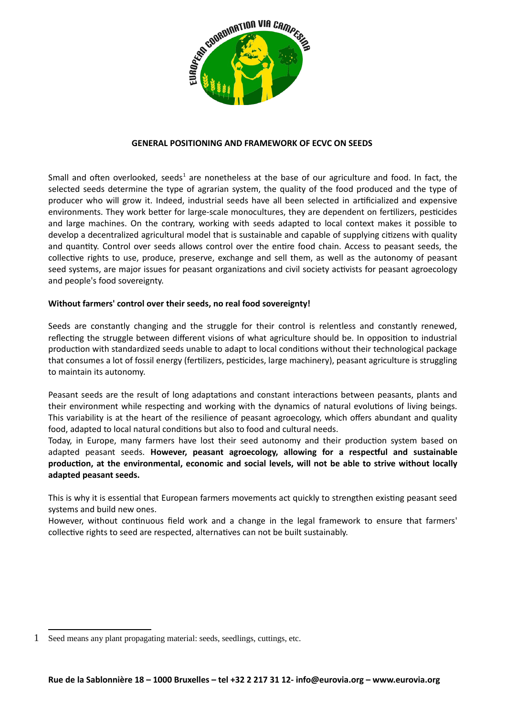

### **GENERAL POSITIONING AND FRAMEWORK OF ECVC ON SEEDS**

Small and often overlooked, seeds<sup>[1](#page-0-0)</sup> are nonetheless at the base of our agriculture and food. In fact, the selected seeds determine the type of agrarian system, the quality of the food produced and the type of producer who will grow it. Indeed, industrial seeds have all been selected in artificialized and expensive environments. They work better for large-scale monocultures, they are dependent on fertilizers, pesticides and large machines. On the contrary, working with seeds adapted to local context makes it possible to develop a decentralized agricultural model that is sustainable and capable of supplying citizens with quality and quantity. Control over seeds allows control over the entire food chain. Access to peasant seeds, the collective rights to use, produce, preserve, exchange and sell them, as well as the autonomy of peasant seed systems, are major issues for peasant organizations and civil society activists for peasant agroecology and people's food sovereignty.

### **Without farmers' control over their seeds, no real food sovereignty!**

Seeds are constantly changing and the struggle for their control is relentless and constantly renewed, reflecting the struggle between different visions of what agriculture should be. In opposition to industrial production with standardized seeds unable to adapt to local conditions without their technological package that consumes a lot of fossil energy (fertilizers, pesticides, large machinery), peasant agriculture is struggling to maintain its autonomy.

Peasant seeds are the result of long adaptations and constant interactions between peasants, plants and their environment while respecting and working with the dynamics of natural evolutions of living beings. This variability is at the heart of the resilience of peasant agroecology, which offers abundant and quality food, adapted to local natural conditions but also to food and cultural needs.

Today, in Europe, many farmers have lost their seed autonomy and their production system based on adapted peasant seeds. **However, peasant agroecology, allowing for a respectful and sustainable production, at the environmental, economic and social levels, will not be able to strive without locally adapted peasant seeds.**

This is why it is essential that European farmers movements act quickly to strengthen existing peasant seed systems and build new ones.

However, without continuous field work and a change in the legal framework to ensure that farmers' collective rights to seed are respected, alternatives can not be built sustainably.

<span id="page-0-0"></span><sup>1</sup> Seed means any plant propagating material: seeds, seedlings, cuttings, etc.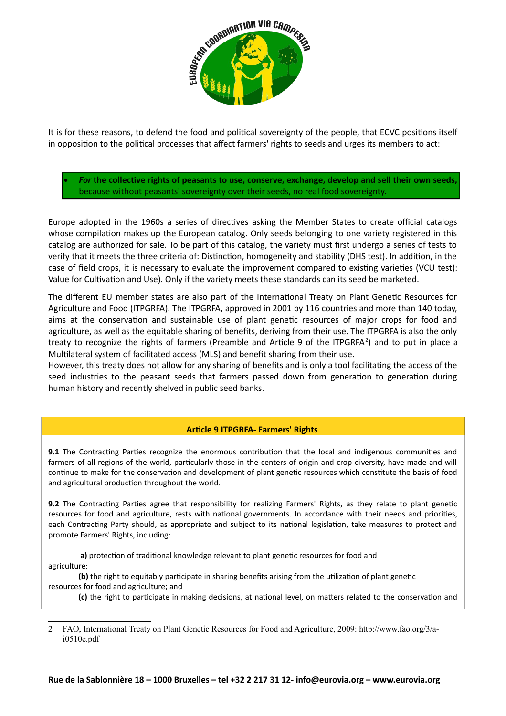

It is for these reasons, to defend the food and political sovereignty of the people, that ECVC positions itself in opposition to the political processes that affect farmers' rights to seeds and urges its members to act:

 *For* **the collective rights of peasants to use, conserve, exchange, develop and sell their own seeds,** because without peasants' sovereignty over their seeds, no real food sovereignty.

Europe adopted in the 1960s a series of directives asking the Member States to create official catalogs whose compilation makes up the European catalog. Only seeds belonging to one variety registered in this catalog are authorized for sale. To be part of this catalog, the variety must first undergo a series of tests to verify that it meets the three criteria of: Distinction, homogeneity and stability (DHS test). In addition, in the case of field crops, it is necessary to evaluate the improvement compared to existing varieties (VCU test): Value for Cultivation and Use). Only if the variety meets these standards can its seed be marketed.

The different EU member states are also part of the International Treaty on Plant Genetic Resources for Agriculture and Food (ITPGRFA). The ITPGRFA, approved in 2001 by 116 countries and more than 140 today, aims at the conservation and sustainable use of plant genetic resources of major crops for food and agriculture, as well as the equitable sharing of benefits, deriving from their use. The ITPGRFA is also the only treaty to recognize the rights of farmers (Preamble and Article 9 of the ITPGRFA<sup>[2](#page-1-0)</sup>) and to put in place a Multilateral system of facilitated access (MLS) and benefit sharing from their use.

However, this treaty does not allow for any sharing of benefits and is only a tool facilitating the access of the seed industries to the peasant seeds that farmers passed down from generation to generation during human history and recently shelved in public seed banks.

# **Article 9 ITPGRFA- Farmers' Rights**

**9.1** The Contracting Parties recognize the enormous contribution that the local and indigenous communities and farmers of all regions of the world, particularly those in the centers of origin and crop diversity, have made and will continue to make for the conservation and development of plant genetic resources which constitute the basis of food and agricultural production throughout the world.

**9.2** The Contracting Parties agree that responsibility for realizing Farmers' Rights, as they relate to plant genetic resources for food and agriculture, rests with national governments. In accordance with their needs and priorities, each Contracting Party should, as appropriate and subject to its national legislation, take measures to protect and promote Farmers' Rights, including:

**a)** protection of traditional knowledge relevant to plant genetic resources for food and agriculture;

**(b)** the right to equitably participate in sharing benefits arising from the utilization of plant genetic resources for food and agriculture; and

**(c)** the right to participate in making decisions, at national level, on matters related to the conservation and

<span id="page-1-0"></span><sup>2</sup> FAO, International Treaty on Plant Genetic Resources for Food and Agriculture, 2009: http://www.fao.org/3/ai0510e.pdf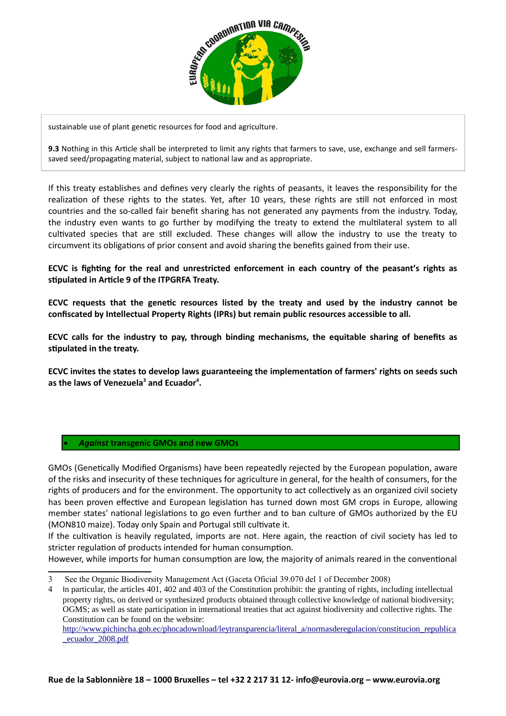

sustainable use of plant genetic resources for food and agriculture.

**9.3** Nothing in this Article shall be interpreted to limit any rights that farmers to save, use, exchange and sell farmerssaved seed/propagating material, subject to national law and as appropriate.

If this treaty establishes and defines very clearly the rights of peasants, it leaves the responsibility for the realization of these rights to the states. Yet, after 10 years, these rights are still not enforced in most countries and the so-called fair benefit sharing has not generated any payments from the industry. Today, the industry even wants to go further by modifying the treaty to extend the multilateral system to all cultivated species that are still excluded. These changes will allow the industry to use the treaty to circumvent its obligations of prior consent and avoid sharing the benefits gained from their use.

**ECVC is fighting for the real and unrestricted enforcement in each country of the peasant's rights as stipulated in Article 9 of the ITPGRFA Treaty.**

**ECVC requests that the genetic resources listed by the treaty and used by the industry cannot be confiscated by Intellectual Property Rights (IPRs) but remain public resources accessible to all.**

**ECVC calls for the industry to pay, through binding mechanisms, the equitable sharing of benefits as stipulated in the treaty.**

**ECVC invites the states to develop laws guaranteeing the implementation of farmers' rights on seeds such as the laws of Venezuela[3](#page-2-0) and Ecuador[4](#page-2-1) .**

#### *Against* **transgenic GMOs and new GMOs**

GMOs (Genetically Modified Organisms) have been repeatedly rejected by the European population, aware of the risks and insecurity of these techniques for agriculture in general, for the health of consumers, for the rights of producers and for the environment. The opportunity to act collectively as an organized civil society has been proven effective and European legislation has turned down most GM crops in Europe, allowing member states' national legislations to go even further and to ban culture of GMOs authorized by the EU (MON810 maize). Today only Spain and Portugal still cultivate it.

If the cultivation is heavily regulated, imports are not. Here again, the reaction of civil society has led to stricter regulation of products intended for human consumption.

However, while imports for human consumption are low, the majority of animals reared in the conventional

<span id="page-2-0"></span><sup>3</sup> See the Organic Biodiversity Management Act (Gaceta Oficial 39.070 del 1 of December 2008)

<span id="page-2-1"></span><sup>4</sup> In particular, the articles 401, 402 and 403 of the Constitution prohibit: the granting of rights, including intellectual property rights, on derived or synthesized products obtained through collective knowledge of national biodiversity; OGMS; as well as state participation in international treaties that act against biodiversity and collective rights. The Constitution can be found on the website:

[http://www.pichincha.gob.ec/phocadownload/leytransparencia/literal\\_a/normasderegulacion/constitucion\\_republica](https://translate.google.com/translate?hl=en&prev=_t&sl=fr&tl=en&u=http://www.pichincha.gob.ec/phocadownload/leytransparencia/literal_a/normasderegulacion/constitucion_republica_ecuador_2008.pdf) [\\_ecuador\\_2008.pdf](https://translate.google.com/translate?hl=en&prev=_t&sl=fr&tl=en&u=http://www.pichincha.gob.ec/phocadownload/leytransparencia/literal_a/normasderegulacion/constitucion_republica_ecuador_2008.pdf)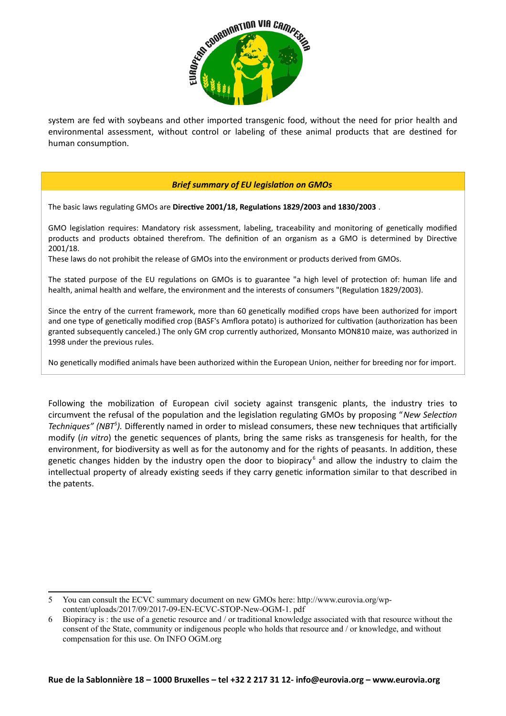

system are fed with soybeans and other imported transgenic food, without the need for prior health and environmental assessment, without control or labeling of these animal products that are destined for human consumption.

### *Brief summary of EU legislation on GMOs*

The basic laws regulating GMOs are **Directive 2001/18, Regulations 1829/2003 and 1830/2003** .

GMO legislation requires: Mandatory risk assessment, labeling, traceability and monitoring of genetically modified products and products obtained therefrom. The definition of an organism as a GMO is determined by Directive 2001/18.

These laws do not prohibit the release of GMOs into the environment or products derived from GMOs.

The stated purpose of the EU regulations on GMOs is to guarantee "a high level of protection of: human life and health, animal health and welfare, the environment and the interests of consumers "(Regulation 1829/2003).

Since the entry of the current framework, more than 60 genetically modified crops have been authorized for import and one type of genetically modified crop (BASF's Amflora potato) is authorized for cultivation (authorization has been granted subsequently canceled.) The only GM crop currently authorized, Monsanto MON810 maize, was authorized in 1998 under the previous rules.

No genetically modified animals have been authorized within the European Union, neither for breeding nor for import.

Following the mobilization of European civil society against transgenic plants, the industry tries to circumvent the refusal of the population and the legislation regulating GMOs by proposing "*New Selection Techniques" (NBT[5](#page-3-0) ).* Differently named in order to mislead consumers, these new techniques that artificially modify (*in vitro*) the genetic sequences of plants, bring the same risks as transgenesis for health, for the environment, for biodiversity as well as for the autonomy and for the rights of peasants. In addition, these genetic changes hidden by the industry open the door to biopiracy<sup>[6](#page-3-1)</sup> and allow the industry to claim the intellectual property of already existing seeds if they carry genetic information similar to that described in the patents.

<span id="page-3-0"></span><sup>5</sup> You can consult the ECVC summary document on new GMOs here: http://www.eurovia.org/wpcontent/uploads/2017/09/2017-09-EN-ECVC-STOP-New-OGM-1. pdf

<span id="page-3-1"></span><sup>6</sup> Biopiracy is : the use of a genetic resource and / or traditional knowledge associated with that resource without the consent of the State, community or indigenous people who holds that resource and / or knowledge, and without compensation for this use. On INFO OGM.org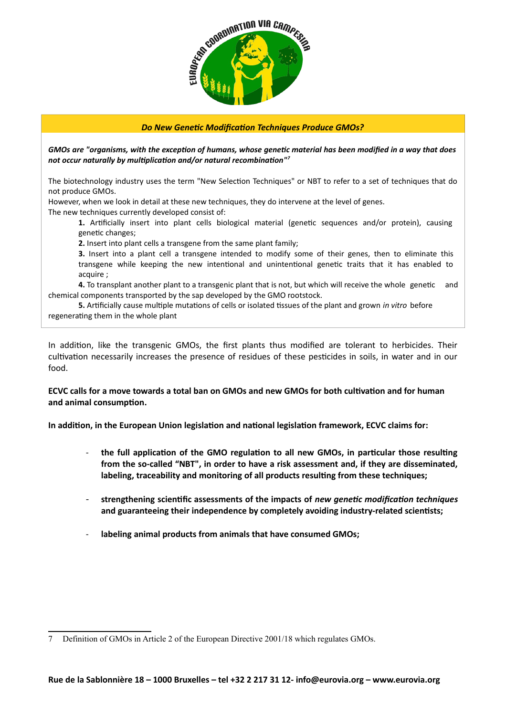

### *Do New Genetic Modification Techniques Produce GMOs?*

*GMOs are "organisms, with the exception of humans, whose genetic material has been modified in a way that does not occur naturally by multiplication and/or natural recombination"[7](#page-4-0)*

The biotechnology industry uses the term "New Selection Techniques" or NBT to refer to a set of techniques that do not produce GMOs.

However, when we look in detail at these new techniques, they do intervene at the level of genes.

The new techniques currently developed consist of:

**1.** Artificially insert into plant cells biological material (genetic sequences and/or protein), causing genetic changes;

**2.** Insert into plant cells a transgene from the same plant family;

**3.** Insert into a plant cell a transgene intended to modify some of their genes, then to eliminate this transgene while keeping the new intentional and unintentional genetic traits that it has enabled to acquire ;

**4.** To transplant another plant to a transgenic plant that is not, but which will receive the whole genetic and chemical components transported by the sap developed by the GMO rootstock.

**5.** Artificially cause multiple mutations of cells or isolated tissues of the plant and grown *in vitro* before regenerating them in the whole plant

In addition, like the transgenic GMOs, the first plants thus modified are tolerant to herbicides. Their cultivation necessarily increases the presence of residues of these pesticides in soils, in water and in our food.

### **ECVC calls for a move towards a total ban on GMOs and new GMOs for both cultivation and for human and animal consumption.**

**In addition, in the European Union legislation and national legislation framework, ECVC claims for:** 

- **the full application of the GMO regulation to all new GMOs, in particular those resulting from the so-called "NBT", in order to have a risk assessment and, if they are disseminated, labeling, traceability and monitoring of all products resulting from these techniques;**
- **strengthening scientific assessments of the impacts of** *new genetic modification techniques* **and guaranteeing their independence by completely avoiding industry-related scientists;**
- labeling animal products from animals that have consumed GMOs;

<span id="page-4-0"></span><sup>7</sup> Definition of GMOs in Article 2 of the European Directive 2001/18 which regulates GMOs.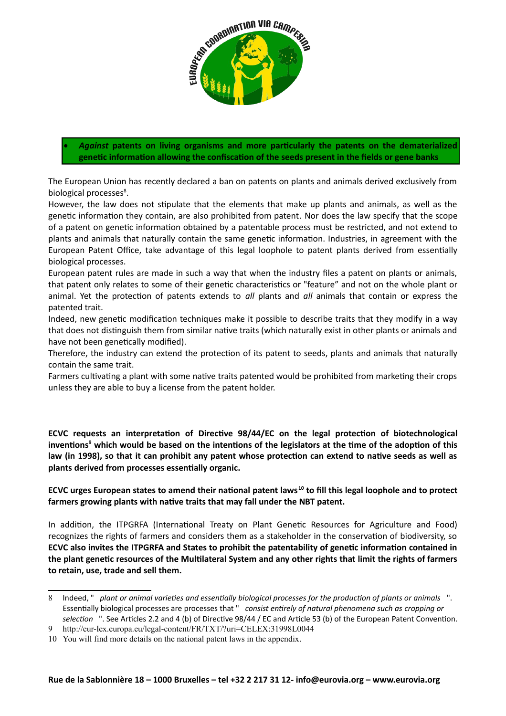

 *Against* **patents on living organisms and more particularly the patents on the dematerialized genetic information allowing the confiscation of the seeds present in the fields or gene banks**

The European Union has recently declared a ban on patents on plants and animals derived exclusively from biological processes<sup>[8](#page-5-0)</sup>.

However, the law does not stipulate that the elements that make up plants and animals, as well as the genetic information they contain, are also prohibited from patent*.* Nor does the law specify that the scope of a patent on genetic information obtained by a patentable process must be restricted, and not extend to plants and animals that naturally contain the same genetic information. Industries, in agreement with the European Patent Office, take advantage of this legal loophole to patent plants derived from essentially biological processes.

European patent rules are made in such a way that when the industry files a patent on plants or animals, that patent only relates to some of their genetic characteristics or "feature" and not on the whole plant or animal. Yet the protection of patents extends to *all* plants and *all* animals that contain or express the patented trait.

Indeed, new genetic modification techniques make it possible to describe traits that they modify in a way that does not distinguish them from similar native traits (which naturally exist in other plants or animals and have not been genetically modified).

Therefore, the industry can extend the protection of its patent to seeds, plants and animals that naturally contain the same trait.

Farmers cultivating a plant with some native traits patented would be prohibited from marketing their crops unless they are able to buy a license from the patent holder.

**ECVC requests an interpretation of Directive 98/44/EC on the legal protection of biotechnological inventions[9](#page-5-1) which would be based on the intentions of the legislators at the time of the adoption of this law (in 1998), so that it can prohibit any patent whose protection can extend to native seeds as well as plants derived from processes essentially organic.**

**ECVC urges European states to amend their national patent laws[10](#page-5-2) to fill this legal loophole and to protect farmers growing plants with native traits that may fall under the NBT patent.**

In addition, the ITPGRFA (International Treaty on Plant Genetic Resources for Agriculture and Food) recognizes the rights of farmers and considers them as a stakeholder in the conservation of biodiversity, so **ECVC also invites the ITPGRFA and States to prohibit the patentability of genetic information contained in the plant genetic resources of the Multilateral System and any other rights that limit the rights of farmers to retain, use, trade and sell them.**

<span id="page-5-0"></span><sup>8</sup> Indeed, " *plant or animal varieties and essentially biological processes for the production of plants or animals* ". Essentially biological processes are processes that " *consist entirely of natural phenomena such as cropping or selection* ". See Articles 2.2 and 4 (b) of Directive 98/44 / EC and Article 53 (b) of the European Patent Convention.

<span id="page-5-1"></span><sup>9</sup> http://eur-lex.europa.eu/legal-content/FR/TXT/?uri=CELEX:31998L0044

<span id="page-5-2"></span><sup>10</sup> You will find more details on the national patent laws in the appendix.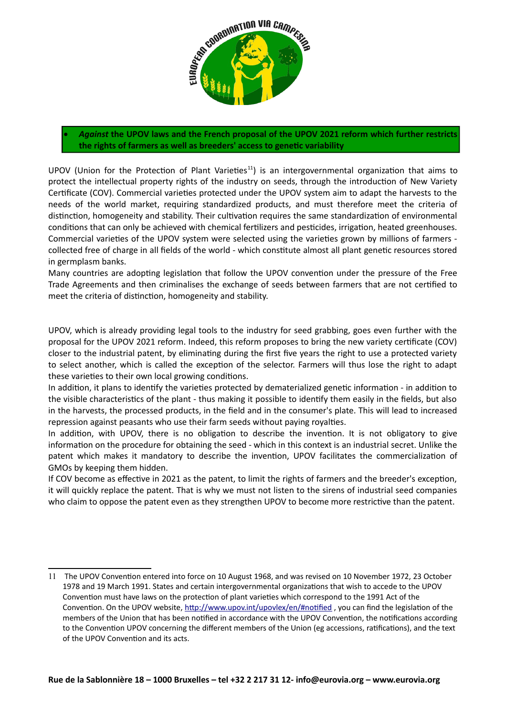

 *Against* **the UPOV laws and the French proposal of the UPOV 2021 reform which further restricts the rights of farmers as well as breeders' access to genetic variability**

UPOV (Union for the Protection of Plant Varieties<sup>[11](#page-6-0)</sup>) is an intergovernmental organization that aims to protect the intellectual property rights of the industry on seeds, through the introduction of New Variety Certificate (COV). Commercial varieties protected under the UPOV system aim to adapt the harvests to the needs of the world market, requiring standardized products, and must therefore meet the criteria of distinction, homogeneity and stability. Their cultivation requires the same standardization of environmental conditions that can only be achieved with chemical fertilizers and pesticides, irrigation, heated greenhouses. Commercial varieties of the UPOV system were selected using the varieties grown by millions of farmers collected free of charge in all fields of the world - which constitute almost all plant genetic resources stored in germplasm banks.

Many countries are adopting legislation that follow the UPOV convention under the pressure of the Free Trade Agreements and then criminalises the exchange of seeds between farmers that are not certified to meet the criteria of distinction, homogeneity and stability.

UPOV, which is already providing legal tools to the industry for seed grabbing, goes even further with the proposal for the UPOV 2021 reform. Indeed, this reform proposes to bring the new variety certificate (COV) closer to the industrial patent, by eliminating during the first five years the right to use a protected variety to select another, which is called the exception of the selector. Farmers will thus lose the right to adapt these varieties to their own local growing conditions.

In addition, it plans to identify the varieties protected by dematerialized genetic information - in addition to the visible characteristics of the plant - thus making it possible to identify them easily in the fields, but also in the harvests, the processed products, in the field and in the consumer's plate. This will lead to increased repression against peasants who use their farm seeds without paying royalties.

In addition, with UPOV, there is no obligation to describe the invention. It is not obligatory to give information on the procedure for obtaining the seed - which in this context is an industrial secret. Unlike the patent which makes it mandatory to describe the invention, UPOV facilitates the commercialization of GMOs by keeping them hidden.

If COV become as effective in 2021 as the patent, to limit the rights of farmers and the breeder's exception, it will quickly replace the patent. That is why we must not listen to the sirens of industrial seed companies who claim to oppose the patent even as they strengthen UPOV to become more restrictive than the patent.

<span id="page-6-0"></span><sup>11</sup> The UPOV Convention entered into force on 10 August 1968, and was revised on 10 November 1972, 23 October 1978 and 19 March 1991. States and certain intergovernmental organizations that wish to accede to the UPOV Convention must have laws on the protection of plant varieties which correspond to the 1991 Act of the Convention. On the UPOV website, http://www.upov.int/upovlex/en/#notified, you can find the legislation of the members of the Union that has been notified in accordance with the UPOV Convention, the notifications according to the Convention UPOV concerning the different members of the Union (eg accessions, ratifications), and the text of the UPOV Convention and its acts.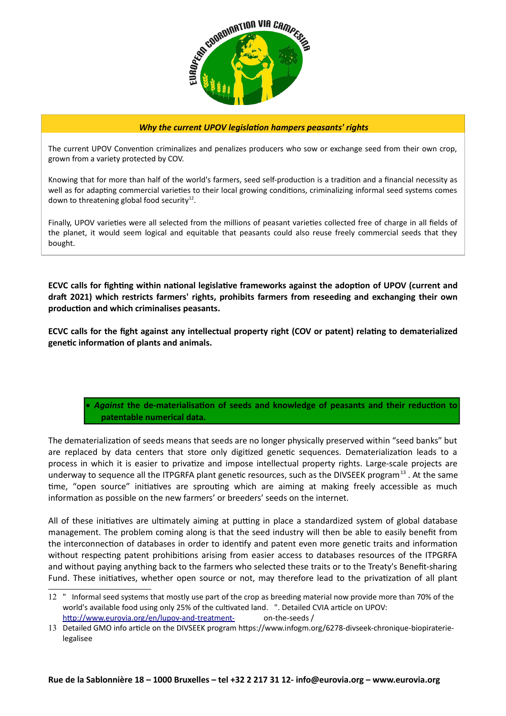

#### *Why the current UPOV legislation hampers peasants' rights*

The current UPOV Convention criminalizes and penalizes producers who sow or exchange seed from their own crop, grown from a variety protected by COV.

Knowing that for more than half of the world's farmers, seed self-production is a tradition and a financial necessity as well as for adapting commercial varieties to their local growing conditions, criminalizing informal seed systems comes down to threatening global food security<sup>[12](#page-7-0)</sup>.

Finally, UPOV varieties were all selected from the millions of peasant varieties collected free of charge in all fields of the planet, it would seem logical and equitable that peasants could also reuse freely commercial seeds that they bought.

**ECVC calls for fighting within national legislative frameworks against the adoption of UPOV (current and draft 2021) which restricts farmers' rights, prohibits farmers from reseeding and exchanging their own production and which criminalises peasants.** 

**ECVC calls for the fight against any intellectual property right (COV or patent) relating to dematerialized genetic information of plants and animals.**

# *Against* **the de-materialisation of seeds and knowledge of peasants and their reduction to patentable numerical data.**

The dematerialization of seeds means that seeds are no longer physically preserved within "seed banks" but are replaced by data centers that store only digitized genetic sequences. Dematerialization leads to a process in which it is easier to privatize and impose intellectual property rights. Large-scale projects are underway to sequence all the ITPGRFA plant genetic resources, such as the DIVSEEK program<sup>[13](#page-7-1)</sup>. At the same time, "open source" initiatives are sprouting which are aiming at making freely accessible as much information as possible on the new farmers' or breeders' seeds on the internet.

All of these initiatives are ultimately aiming at putting in place a standardized system of global database management. The problem coming along is that the seed industry will then be able to easily benefit from the interconnection of databases in order to identify and patent even more genetic traits and information without respecting patent prohibitions arising from easier access to databases resources of the ITPGRFA and without paying anything back to the farmers who selected these traits or to the Treaty's Benefit-sharing Fund. These initiatives, whether open source or not, may therefore lead to the privatization of all plant

<span id="page-7-0"></span><sup>12</sup> " Informal seed systems that mostly use part of the crop as breeding material now provide more than 70% of the world's available food using only 25% of the cultivated land. ". Detailed CVIA article on UPOV: [http://www.eurovia.org/en/lupov-and-treatment-](https://translate.google.com/translate?hl=en&prev=_t&sl=fr&tl=en&u=http://www.eurovia.org/fr/lupov-et-le-traite-) on-the-seeds /

<span id="page-7-1"></span><sup>13</sup> Detailed GMO info article on the DIVSEEK program https://www.infogm.org/6278-divseek-chronique-biopiraterielegalisee